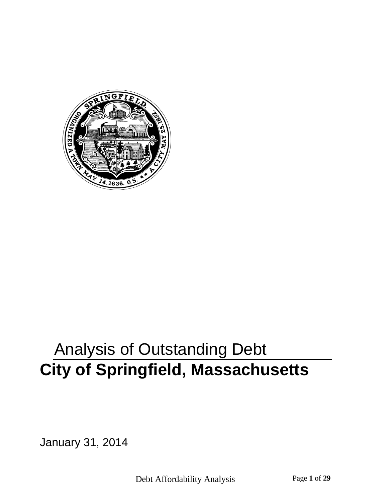

# Analysis of Outstanding Debt **City of Springfield, Massachusetts**

January 31, 2014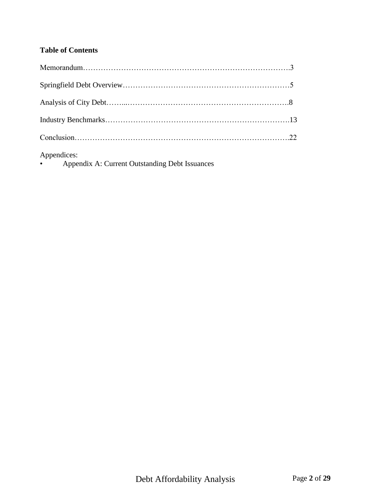## **Table of Contents**

Appendices:

• Appendix A: Current Outstanding Debt Issuances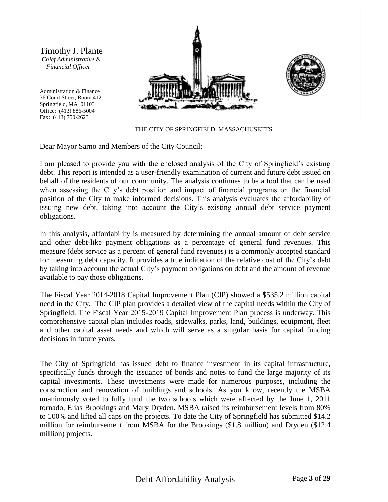Timothy J. Plante *Chief Administrative & Financial Officer*

Administration & Finance 36 Court Street, Room 412 Springfield, MA 01103 Office: (413) 886-5004 Fax: (413) 750-2623





THE CITY OF SPRINGFIELD, MASSACHUSETTS

Dear Mayor Sarno and Members of the City Council:

I am pleased to provide you with the enclosed analysis of the City of Springfield's existing debt. This report is intended as a user-friendly examination of current and future debt issued on behalf of the residents of our community. The analysis continues to be a tool that can be used when assessing the City's debt position and impact of financial programs on the financial position of the City to make informed decisions. This analysis evaluates the affordability of issuing new debt, taking into account the City's existing annual debt service payment obligations.

In this analysis, affordability is measured by determining the annual amount of debt service and other debt-like payment obligations as a percentage of general fund revenues. This measure (debt service as a percent of general fund revenues) is a commonly accepted standard for measuring debt capacity. It provides a true indication of the relative cost of the City's debt by taking into account the actual City's payment obligations on debt and the amount of revenue available to pay those obligations.

The Fiscal Year 2014-2018 Capital Improvement Plan (CIP) showed a \$535.2 million capital need in the City. The CIP plan provides a detailed view of the capital needs within the City of Springfield. The Fiscal Year 2015-2019 Capital Improvement Plan process is underway. This comprehensive capital plan includes roads, sidewalks, parks, land, buildings, equipment, fleet and other capital asset needs and which will serve as a singular basis for capital funding decisions in future years.

The City of Springfield has issued debt to finance investment in its capital infrastructure, specifically funds through the issuance of bonds and notes to fund the large majority of its capital investments. These investments were made for numerous purposes, including the construction and renovation of buildings and schools. As you know, recently the MSBA unanimously voted to fully fund the two schools which were affected by the June 1, 2011 tornado, Elias Brookings and Mary Dryden. MSBA raised its reimbursement levels from 80% to 100% and lifted all caps on the projects. To date the City of Springfield has submitted \$14.2 million for reimbursement from MSBA for the Brookings (\$1.8 million) and Dryden (\$12.4 million) projects.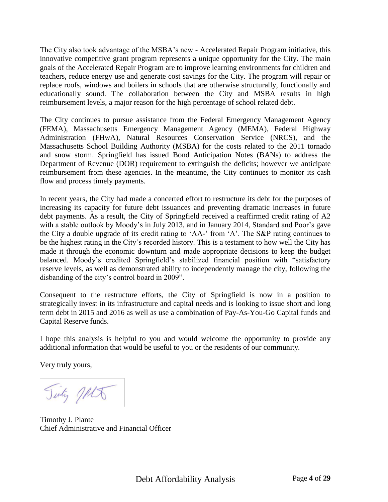The City also took advantage of the MSBA's new - Accelerated Repair Program initiative, this innovative competitive grant program represents a unique opportunity for the City. The main goals of the Accelerated Repair Program are to improve learning environments for children and teachers, reduce energy use and generate cost savings for the City. The program will repair or replace roofs, windows and boilers in schools that are otherwise structurally, functionally and educationally sound. The collaboration between the City and MSBA results in high reimbursement levels, a major reason for the high percentage of school related debt.

The City continues to pursue assistance from the Federal Emergency Management Agency (FEMA), Massachusetts Emergency Management Agency (MEMA), Federal Highway Administration (FHwA), Natural Resources Conservation Service (NRCS), and the Massachusetts School Building Authority (MSBA) for the costs related to the 2011 tornado and snow storm. Springfield has issued Bond Anticipation Notes (BANs) to address the Department of Revenue (DOR) requirement to extinguish the deficits; however we anticipate reimbursement from these agencies. In the meantime, the City continues to monitor its cash flow and process timely payments.

In recent years, the City had made a concerted effort to restructure its debt for the purposes of increasing its capacity for future debt issuances and preventing dramatic increases in future debt payments. As a result, the City of Springfield received a reaffirmed credit rating of A2 with a stable outlook by Moody's in July 2013, and in January 2014, Standard and Poor's gave the City a double upgrade of its credit rating to 'AA-' from 'A'. The S&P rating continues to be the highest rating in the City's recorded history. This is a testament to how well the City has made it through the economic downturn and made appropriate decisions to keep the budget balanced. Moody's credited Springfield's stabilized financial position with "satisfactory reserve levels, as well as demonstrated ability to independently manage the city, following the disbanding of the city's control board in 2009".

Consequent to the restructure efforts, the City of Springfield is now in a position to strategically invest in its infrastructure and capital needs and is looking to issue short and long term debt in 2015 and 2016 as well as use a combination of Pay-As-You-Go Capital funds and Capital Reserve funds.

I hope this analysis is helpful to you and would welcome the opportunity to provide any additional information that would be useful to you or the residents of our community.

Very truly yours,

Tinty Jets

Timothy J. Plante Chief Administrative and Financial Officer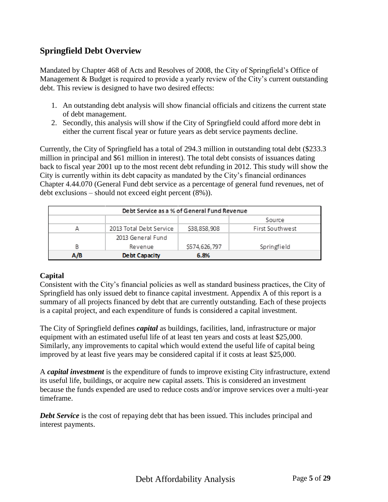## **Springfield Debt Overview**

Mandated by Chapter 468 of Acts and Resolves of 2008, the City of Springfield's Office of Management & Budget is required to provide a yearly review of the City's current outstanding debt. This review is designed to have two desired effects:

- 1. An outstanding debt analysis will show financial officials and citizens the current state of debt management.
- 2. Secondly, this analysis will show if the City of Springfield could afford more debt in either the current fiscal year or future years as debt service payments decline.

Currently, the City of Springfield has a total of 294.3 million in outstanding total debt (\$233.3 million in principal and \$61 million in interest). The total debt consists of issuances dating back to fiscal year 2001 up to the most recent debt refunding in 2012. This study will show the City is currently within its debt capacity as mandated by the City's financial ordinances Chapter 4.44.070 (General Fund debt service as a percentage of general fund revenues, net of debt exclusions – should not exceed eight percent (8%)).

|     | Debt Service as a % of General Fund Revenue |              |                        |
|-----|---------------------------------------------|--------------|------------------------|
|     |                                             |              | Source                 |
| А   | 2013 Total Debt Service                     | S38,858,908  | <b>First Southwest</b> |
|     | 2013 General Fund                           |              |                        |
| в   | Revenue                                     | S574,626,797 | Springfield            |
| A/B | <b>Debt Capacity</b>                        | 6.8%         |                        |

#### **Capital**

Consistent with the City's financial policies as well as standard business practices, the City of Springfield has only issued debt to finance capital investment. Appendix A of this report is a summary of all projects financed by debt that are currently outstanding. Each of these projects is a capital project, and each expenditure of funds is considered a capital investment.

The City of Springfield defines *capital* as buildings, facilities, land, infrastructure or major equipment with an estimated useful life of at least ten years and costs at least \$25,000. Similarly, any improvements to capital which would extend the useful life of capital being improved by at least five years may be considered capital if it costs at least \$25,000.

A *capital investment* is the expenditure of funds to improve existing City infrastructure, extend its useful life, buildings, or acquire new capital assets. This is considered an investment because the funds expended are used to reduce costs and/or improve services over a multi-year timeframe.

**Debt Service** is the cost of repaying debt that has been issued. This includes principal and interest payments.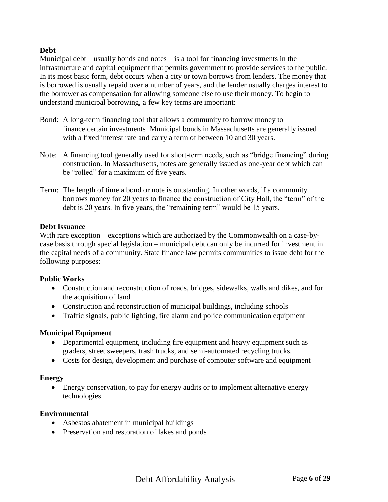#### **Debt**

Municipal debt – usually bonds and notes – is a tool for financing investments in the infrastructure and capital equipment that permits government to provide services to the public. In its most basic form, debt occurs when a city or town borrows from lenders. The money that is borrowed is usually repaid over a number of years, and the lender usually charges interest to the borrower as compensation for allowing someone else to use their money. To begin to understand municipal borrowing, a few key terms are important:

- Bond: A long-term financing tool that allows a community to borrow money to finance certain investments. Municipal bonds in Massachusetts are generally issued with a fixed interest rate and carry a term of between 10 and 30 years.
- Note: A financing tool generally used for short-term needs, such as "bridge financing" during construction. In Massachusetts, notes are generally issued as one-year debt which can be "rolled" for a maximum of five years.
- Term: The length of time a bond or note is outstanding. In other words, if a community borrows money for 20 years to finance the construction of City Hall, the "term" of the debt is 20 years. In five years, the "remaining term" would be 15 years.

#### **Debt Issuance**

With rare exception – exceptions which are authorized by the Commonwealth on a case-bycase basis through special legislation – municipal debt can only be incurred for investment in the capital needs of a community. State finance law permits communities to issue debt for the following purposes:

#### **Public Works**

- Construction and reconstruction of roads, bridges, sidewalks, walls and dikes, and for the acquisition of land
- Construction and reconstruction of municipal buildings, including schools
- Traffic signals, public lighting, fire alarm and police communication equipment

#### **Municipal Equipment**

- Departmental equipment, including fire equipment and heavy equipment such as graders, street sweepers, trash trucks, and semi-automated recycling trucks.
- Costs for design, development and purchase of computer software and equipment

#### **Energy**

 Energy conservation, to pay for energy audits or to implement alternative energy technologies.

#### **Environmental**

- Asbestos abatement in municipal buildings
- Preservation and restoration of lakes and ponds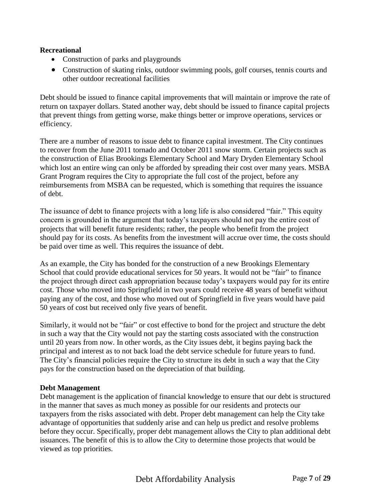#### **Recreational**

- Construction of parks and playgrounds
- Construction of skating rinks, outdoor swimming pools, golf courses, tennis courts and other outdoor recreational facilities

Debt should be issued to finance capital improvements that will maintain or improve the rate of return on taxpayer dollars. Stated another way, debt should be issued to finance capital projects that prevent things from getting worse, make things better or improve operations, services or efficiency.

There are a number of reasons to issue debt to finance capital investment. The City continues to recover from the June 2011 tornado and October 2011 snow storm. Certain projects such as the construction of Elias Brookings Elementary School and Mary Dryden Elementary School which lost an entire wing can only be afforded by spreading their cost over many years. MSBA Grant Program requires the City to appropriate the full cost of the project, before any reimbursements from MSBA can be requested, which is something that requires the issuance of debt.

The issuance of debt to finance projects with a long life is also considered "fair." This equity concern is grounded in the argument that today's taxpayers should not pay the entire cost of projects that will benefit future residents; rather, the people who benefit from the project should pay for its costs. As benefits from the investment will accrue over time, the costs should be paid over time as well. This requires the issuance of debt.

As an example, the City has bonded for the construction of a new Brookings Elementary School that could provide educational services for 50 years. It would not be "fair" to finance the project through direct cash appropriation because today's taxpayers would pay for its entire cost. Those who moved into Springfield in two years could receive 48 years of benefit without paying any of the cost, and those who moved out of Springfield in five years would have paid 50 years of cost but received only five years of benefit.

Similarly, it would not be "fair" or cost effective to bond for the project and structure the debt in such a way that the City would not pay the starting costs associated with the construction until 20 years from now. In other words, as the City issues debt, it begins paying back the principal and interest as to not back load the debt service schedule for future years to fund. The City's financial policies require the City to structure its debt in such a way that the City pays for the construction based on the depreciation of that building.

#### **Debt Management**

Debt management is the application of financial knowledge to ensure that our debt is structured in the manner that saves as much money as possible for our residents and protects our taxpayers from the risks associated with debt. Proper debt management can help the City take advantage of opportunities that suddenly arise and can help us predict and resolve problems before they occur. Specifically, proper debt management allows the City to plan additional debt issuances. The benefit of this is to allow the City to determine those projects that would be viewed as top priorities.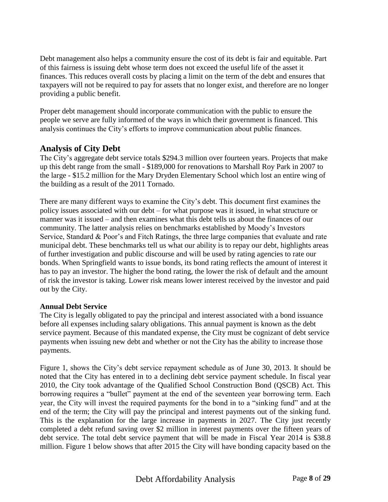Debt management also helps a community ensure the cost of its debt is fair and equitable. Part of this fairness is issuing debt whose term does not exceed the useful life of the asset it finances. This reduces overall costs by placing a limit on the term of the debt and ensures that taxpayers will not be required to pay for assets that no longer exist, and therefore are no longer providing a public benefit.

Proper debt management should incorporate communication with the public to ensure the people we serve are fully informed of the ways in which their government is financed. This analysis continues the City's efforts to improve communication about public finances.

### **Analysis of City Debt**

The City's aggregate debt service totals \$294.3 million over fourteen years. Projects that make up this debt range from the small - \$189,000 for renovations to Marshall Roy Park in 2007 to the large - \$15.2 million for the Mary Dryden Elementary School which lost an entire wing of the building as a result of the 2011 Tornado.

There are many different ways to examine the City's debt. This document first examines the policy issues associated with our debt – for what purpose was it issued, in what structure or manner was it issued – and then examines what this debt tells us about the finances of our community. The latter analysis relies on benchmarks established by Moody's Investors Service, Standard & Poor's and Fitch Ratings, the three large companies that evaluate and rate municipal debt. These benchmarks tell us what our ability is to repay our debt, highlights areas of further investigation and public discourse and will be used by rating agencies to rate our bonds. When Springfield wants to issue bonds, its bond rating reflects the amount of interest it has to pay an investor. The higher the bond rating, the lower the risk of default and the amount of risk the investor is taking. Lower risk means lower interest received by the investor and paid out by the City.

#### **Annual Debt Service**

The City is legally obligated to pay the principal and interest associated with a bond issuance before all expenses including salary obligations. This annual payment is known as the debt service payment. Because of this mandated expense, the City must be cognizant of debt service payments when issuing new debt and whether or not the City has the ability to increase those payments.

Figure 1, shows the City's debt service repayment schedule as of June 30, 2013. It should be noted that the City has entered in to a declining debt service payment schedule. In fiscal year 2010, the City took advantage of the Qualified School Construction Bond (QSCB) Act. This borrowing requires a "bullet" payment at the end of the seventeen year borrowing term. Each year, the City will invest the required payments for the bond in to a "sinking fund" and at the end of the term; the City will pay the principal and interest payments out of the sinking fund. This is the explanation for the large increase in payments in 2027. The City just recently completed a debt refund saving over \$2 million in interest payments over the fifteen years of debt service. The total debt service payment that will be made in Fiscal Year 2014 is \$38.8 million. Figure 1 below shows that after 2015 the City will have bonding capacity based on the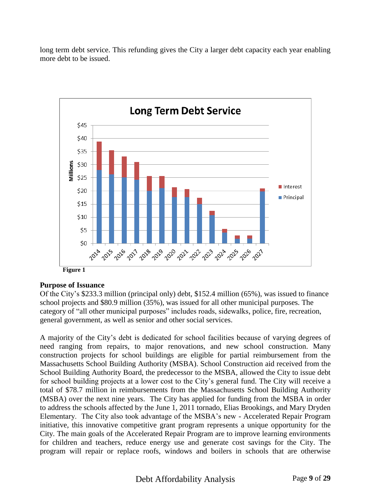long term debt service. This refunding gives the City a larger debt capacity each year enabling more debt to be issued.



#### **Purpose of Issuance**

Of the City's \$233.3 million (principal only) debt, \$152.4 million (65%), was issued to finance school projects and \$80.9 million (35%), was issued for all other municipal purposes. The category of "all other municipal purposes" includes roads, sidewalks, police, fire, recreation, general government, as well as senior and other social services.

A majority of the City's debt is dedicated for school facilities because of varying degrees of need ranging from repairs, to major renovations, and new school construction. Many construction projects for school buildings are eligible for partial reimbursement from the Massachusetts School Building Authority (MSBA). School Construction aid received from the School Building Authority Board, the predecessor to the MSBA, allowed the City to issue debt for school building projects at a lower cost to the City's general fund. The City will receive a total of \$78.7 million in reimbursements from the Massachusetts School Building Authority (MSBA) over the next nine years. The City has applied for funding from the MSBA in order to address the schools affected by the June 1, 2011 tornado, Elias Brookings, and Mary Dryden Elementary. The City also took advantage of the MSBA's new - Accelerated Repair Program initiative, this innovative competitive grant program represents a unique opportunity for the City. The main goals of the Accelerated Repair Program are to improve learning environments for children and teachers, reduce energy use and generate cost savings for the City. The program will repair or replace roofs, windows and boilers in schools that are otherwise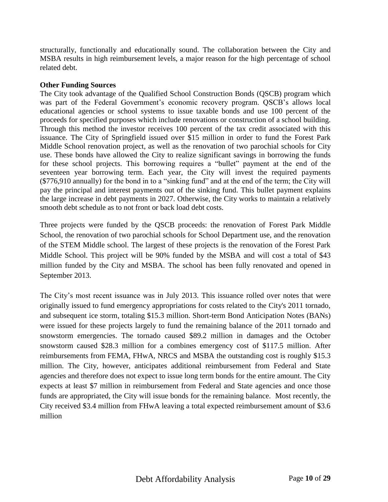structurally, functionally and educationally sound. The collaboration between the City and MSBA results in high reimbursement levels, a major reason for the high percentage of school related debt.

#### **Other Funding Sources**

The City took advantage of the Qualified School Construction Bonds (QSCB) program which was part of the Federal Government's economic recovery program. QSCB's allows local educational agencies or school systems to issue taxable bonds and use 100 percent of the proceeds for specified purposes which include renovations or construction of a school building. Through this method the investor receives 100 percent of the tax credit associated with this issuance. The City of Springfield issued over \$15 million in order to fund the Forest Park Middle School renovation project, as well as the renovation of two parochial schools for City use. These bonds have allowed the City to realize significant savings in borrowing the funds for these school projects. This borrowing requires a "bullet" payment at the end of the seventeen year borrowing term. Each year, the City will invest the required payments (\$776,910 annually) for the bond in to a "sinking fund" and at the end of the term; the City will pay the principal and interest payments out of the sinking fund. This bullet payment explains the large increase in debt payments in 2027. Otherwise, the City works to maintain a relatively smooth debt schedule as to not front or back load debt costs.

Three projects were funded by the QSCB proceeds: the renovation of Forest Park Middle School, the renovation of two parochial schools for School Department use, and the renovation of the STEM Middle school. The largest of these projects is the renovation of the Forest Park Middle School. This project will be 90% funded by the MSBA and will cost a total of \$43 million funded by the City and MSBA. The school has been fully renovated and opened in September 2013.

The City's most recent issuance was in July 2013. This issuance rolled over notes that were originally issued to fund emergency appropriations for costs related to the City's 2011 tornado, and subsequent ice storm, totaling \$15.3 million. Short-term Bond Anticipation Notes (BANs) were issued for these projects largely to fund the remaining balance of the 2011 tornado and snowstorm emergencies. The tornado caused \$89.2 million in damages and the October snowstorm caused \$28.3 million for a combines emergency cost of \$117.5 million. After reimbursements from FEMA, FHwA, NRCS and MSBA the outstanding cost is roughly \$15.3 million. The City, however, anticipates additional reimbursement from Federal and State agencies and therefore does not expect to issue long term bonds for the entire amount. The City expects at least \$7 million in reimbursement from Federal and State agencies and once those funds are appropriated, the City will issue bonds for the remaining balance. Most recently, the City received \$3.4 million from FHwA leaving a total expected reimbursement amount of \$3.6 million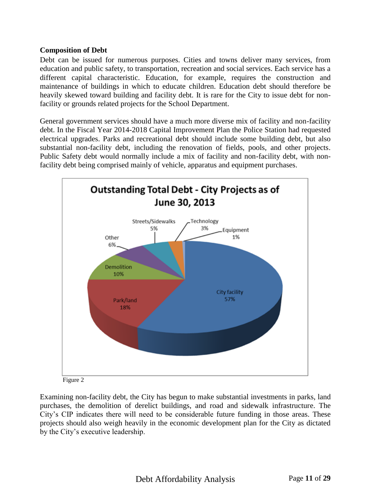#### **Composition of Debt**

Debt can be issued for numerous purposes. Cities and towns deliver many services, from education and public safety, to transportation, recreation and social services. Each service has a different capital characteristic. Education, for example, requires the construction and maintenance of buildings in which to educate children. Education debt should therefore be heavily skewed toward building and facility debt. It is rare for the City to issue debt for nonfacility or grounds related projects for the School Department.

General government services should have a much more diverse mix of facility and non-facility debt. In the Fiscal Year 2014-2018 Capital Improvement Plan the Police Station had requested electrical upgrades. Parks and recreational debt should include some building debt, but also substantial non-facility debt, including the renovation of fields, pools, and other projects. Public Safety debt would normally include a mix of facility and non-facility debt, with nonfacility debt being comprised mainly of vehicle, apparatus and equipment purchases.



Figure 2

Examining non-facility debt, the City has begun to make substantial investments in parks, land purchases, the demolition of derelict buildings, and road and sidewalk infrastructure. The City's CIP indicates there will need to be considerable future funding in those areas. These projects should also weigh heavily in the economic development plan for the City as dictated by the City's executive leadership.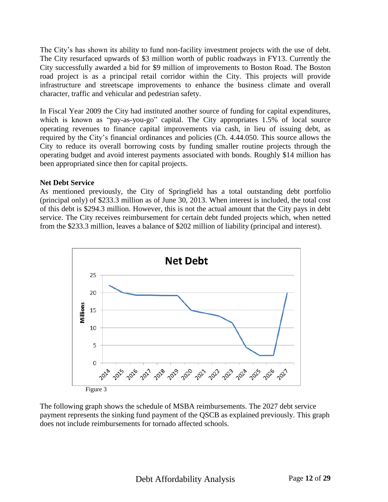The City's has shown its ability to fund non-facility investment projects with the use of debt. The City resurfaced upwards of \$3 million worth of public roadways in FY13. Currently the City successfully awarded a bid for \$9 million of improvements to Boston Road. The Boston road project is as a principal retail corridor within the City. This projects will provide infrastructure and streetscape improvements to enhance the business climate and overall character, traffic and vehicular and pedestrian safety.

In Fiscal Year 2009 the City had instituted another source of funding for capital expenditures, which is known as "pay-as-you-go" capital. The City appropriates 1.5% of local source operating revenues to finance capital improvements via cash, in lieu of issuing debt, as required by the City's financial ordinances and policies (Ch. 4.44.050. This source allows the City to reduce its overall borrowing costs by funding smaller routine projects through the operating budget and avoid interest payments associated with bonds. Roughly \$14 million has been appropriated since then for capital projects.

#### **Net Debt Service**

As mentioned previously, the City of Springfield has a total outstanding debt portfolio (principal only) of \$233.3 million as of June 30, 2013. When interest is included, the total cost of this debt is \$294.3 million. However, this is not the actual amount that the City pays in debt service. The City receives reimbursement for certain debt funded projects which, when netted from the \$233.3 million, leaves a balance of \$202 million of liability (principal and interest).



The following graph shows the schedule of MSBA reimbursements. The 2027 debt service payment represents the sinking fund payment of the QSCB as explained previously. This graph does not include reimbursements for tornado affected schools.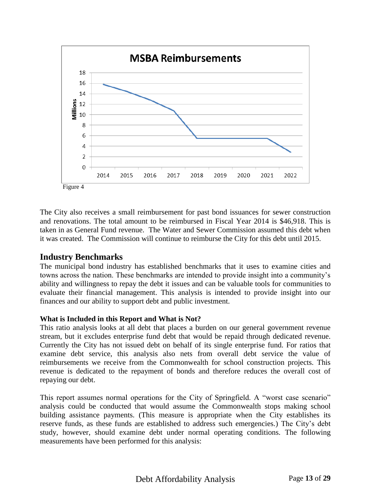

The City also receives a small reimbursement for past bond issuances for sewer construction and renovations. The total amount to be reimbursed in Fiscal Year 2014 is \$46,918. This is taken in as General Fund revenue. The Water and Sewer Commission assumed this debt when it was created. The Commission will continue to reimburse the City for this debt until 2015.

## **Industry Benchmarks**

The municipal bond industry has established benchmarks that it uses to examine cities and towns across the nation. These benchmarks are intended to provide insight into a community's ability and willingness to repay the debt it issues and can be valuable tools for communities to evaluate their financial management. This analysis is intended to provide insight into our finances and our ability to support debt and public investment.

#### **What is Included in this Report and What is Not?**

This ratio analysis looks at all debt that places a burden on our general government revenue stream, but it excludes enterprise fund debt that would be repaid through dedicated revenue. Currently the City has not issued debt on behalf of its single enterprise fund. For ratios that examine debt service, this analysis also nets from overall debt service the value of reimbursements we receive from the Commonwealth for school construction projects. This revenue is dedicated to the repayment of bonds and therefore reduces the overall cost of repaying our debt.

This report assumes normal operations for the City of Springfield. A "worst case scenario" analysis could be conducted that would assume the Commonwealth stops making school building assistance payments. (This measure is appropriate when the City establishes its reserve funds, as these funds are established to address such emergencies.) The City's debt study, however, should examine debt under normal operating conditions. The following measurements have been performed for this analysis: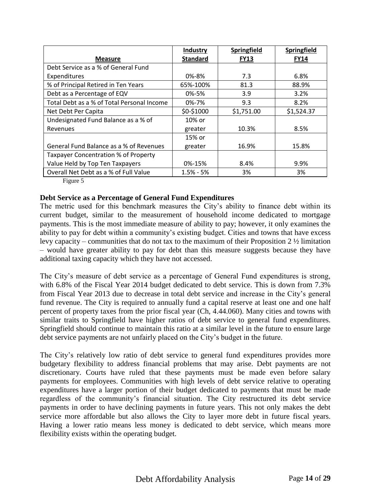|                                            | Industry        | Springfield | Springfield |
|--------------------------------------------|-----------------|-------------|-------------|
| <b>Measure</b>                             | <b>Standard</b> | <b>FY13</b> | <u>FY14</u> |
| Debt Service as a % of General Fund        |                 |             |             |
| Expenditures                               | 0%-8%           | 7.3         | 6.8%        |
| % of Principal Retired in Ten Years        | 65%-100%        | 81.3        | 88.9%       |
| Debt as a Percentage of EQV                | 0%-5%           | 3.9         | 3.2%        |
| Total Debt as a % of Total Personal Income | $0% - 7%$       | 9.3         | 8.2%        |
| Net Debt Per Capita                        | \$0-\$1000      | \$1,751.00  | \$1,524.37  |
| Undesignated Fund Balance as a % of        | 10% or          |             |             |
| Revenues                                   | greater         | 10.3%       | 8.5%        |
|                                            | 15% or          |             |             |
| General Fund Balance as a % of Revenues    | greater         | 16.9%       | 15.8%       |
| Taxpayer Concentration % of Property       |                 |             |             |
| Value Held by Top Ten Taxpayers            | 0%-15%          | 8.4%        | 9.9%        |
| Overall Net Debt as a % of Full Value      | $1.5% - 5%$     | 3%          | 3%          |

Figure 5

#### **Debt Service as a Percentage of General Fund Expenditures**

The metric used for this benchmark measures the City's ability to finance debt within its current budget, similar to the measurement of household income dedicated to mortgage payments. This is the most immediate measure of ability to pay; however, it only examines the ability to pay for debt within a community's existing budget. Cities and towns that have excess levy capacity – communities that do not tax to the maximum of their Proposition  $2\frac{1}{2}$  limitation – would have greater ability to pay for debt than this measure suggests because they have additional taxing capacity which they have not accessed.

The City's measure of debt service as a percentage of General Fund expenditures is strong, with 6.8% of the Fiscal Year 2014 budget dedicated to debt service. This is down from 7.3% from Fiscal Year 2013 due to decrease in total debt service and increase in the City's general fund revenue. The City is required to annually fund a capital reserve at least one and one half percent of property taxes from the prior fiscal year (Ch, 4.44.060). Many cities and towns with similar traits to Springfield have higher ratios of debt service to general fund expenditures. Springfield should continue to maintain this ratio at a similar level in the future to ensure large debt service payments are not unfairly placed on the City's budget in the future.

The City's relatively low ratio of debt service to general fund expenditures provides more budgetary flexibility to address financial problems that may arise. Debt payments are not discretionary. Courts have ruled that these payments must be made even before salary payments for employees. Communities with high levels of debt service relative to operating expenditures have a larger portion of their budget dedicated to payments that must be made regardless of the community's financial situation. The City restructured its debt service payments in order to have declining payments in future years. This not only makes the debt service more affordable but also allows the City to layer more debt in future fiscal years. Having a lower ratio means less money is dedicated to debt service, which means more flexibility exists within the operating budget.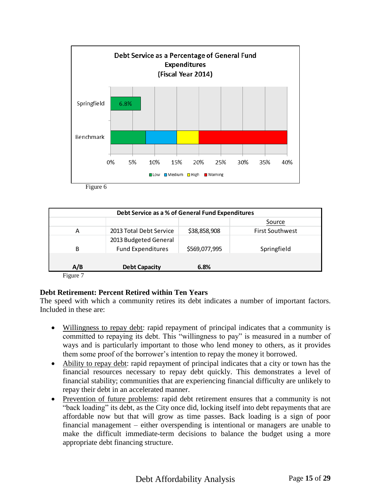

Figure 6

| Debt Service as a % of General Fund Expenditures |                                                   |               |                        |
|--------------------------------------------------|---------------------------------------------------|---------------|------------------------|
|                                                  |                                                   |               | Source                 |
| А                                                | 2013 Total Debt Service                           | \$38,858,908  | <b>First Southwest</b> |
| B                                                | 2013 Budgeted General<br><b>Fund Expenditures</b> | \$569,077,995 | Springfield            |
|                                                  |                                                   |               |                        |
| A/B<br>--                                        | <b>Debt Capacity</b>                              | 6.8%          |                        |

Figure 7

#### **Debt Retirement: Percent Retired within Ten Years**

The speed with which a community retires its debt indicates a number of important factors. Included in these are:

- Willingness to repay debt: rapid repayment of principal indicates that a community is committed to repaying its debt. This "willingness to pay" is measured in a number of ways and is particularly important to those who lend money to others, as it provides them some proof of the borrower's intention to repay the money it borrowed.
- Ability to repay debt: rapid repayment of principal indicates that a city or town has the financial resources necessary to repay debt quickly. This demonstrates a level of financial stability; communities that are experiencing financial difficulty are unlikely to repay their debt in an accelerated manner.
- Prevention of future problems: rapid debt retirement ensures that a community is not "back loading" its debt, as the City once did, locking itself into debt repayments that are affordable now but that will grow as time passes. Back loading is a sign of poor financial management – either overspending is intentional or managers are unable to make the difficult immediate-term decisions to balance the budget using a more appropriate debt financing structure.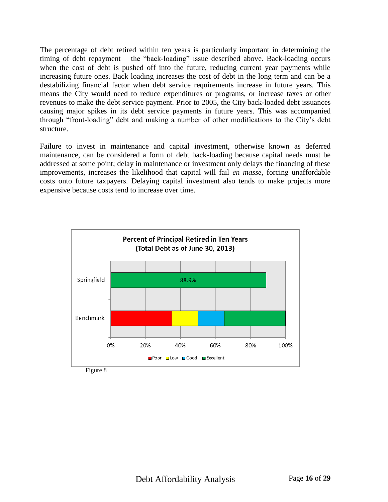The percentage of debt retired within ten years is particularly important in determining the timing of debt repayment – the "back-loading" issue described above. Back-loading occurs when the cost of debt is pushed off into the future, reducing current year payments while increasing future ones. Back loading increases the cost of debt in the long term and can be a destabilizing financial factor when debt service requirements increase in future years. This means the City would need to reduce expenditures or programs, or increase taxes or other revenues to make the debt service payment. Prior to 2005, the City back-loaded debt issuances causing major spikes in its debt service payments in future years. This was accompanied through "front-loading" debt and making a number of other modifications to the City's debt structure.

Failure to invest in maintenance and capital investment, otherwise known as deferred maintenance, can be considered a form of debt back-loading because capital needs must be addressed at some point; delay in maintenance or investment only delays the financing of these improvements, increases the likelihood that capital will fail *en masse*, forcing unaffordable costs onto future taxpayers. Delaying capital investment also tends to make projects more expensive because costs tend to increase over time.



Figure 8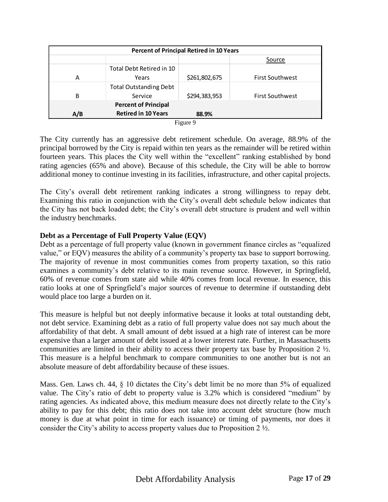| <b>Percent of Principal Retired in 10 Years</b> |                               |               |                        |
|-------------------------------------------------|-------------------------------|---------------|------------------------|
|                                                 |                               |               | Source                 |
|                                                 | Total Debt Retired in 10      |               |                        |
| А                                               | Years                         | \$261,802,675 | <b>First Southwest</b> |
|                                                 | <b>Total Outstanding Debt</b> |               |                        |
| B                                               | Service                       | \$294,383,953 | <b>First Southwest</b> |
| <b>Percent of Principal</b>                     |                               |               |                        |
| A/B                                             | <b>Retired in 10 Years</b>    | 88.9%         |                        |
|                                                 | $\overline{\phantom{a}}$      | $\sim$        |                        |

| L |
|---|
|---|

The City currently has an aggressive debt retirement schedule. On average, 88.9% of the principal borrowed by the City is repaid within ten years as the remainder will be retired within fourteen years. This places the City well within the "excellent" ranking established by bond rating agencies (65% and above). Because of this schedule, the City will be able to borrow additional money to continue investing in its facilities, infrastructure, and other capital projects.

The City's overall debt retirement ranking indicates a strong willingness to repay debt. Examining this ratio in conjunction with the City's overall debt schedule below indicates that the City has not back loaded debt; the City's overall debt structure is prudent and well within the industry benchmarks.

#### **Debt as a Percentage of Full Property Value (EQV)**

Debt as a percentage of full property value (known in government finance circles as "equalized value," or EQV) measures the ability of a community's property tax base to support borrowing. The majority of revenue in most communities comes from property taxation, so this ratio examines a community's debt relative to its main revenue source. However, in Springfield, 60% of revenue comes from state aid while 40% comes from local revenue. In essence, this ratio looks at one of Springfield's major sources of revenue to determine if outstanding debt would place too large a burden on it.

This measure is helpful but not deeply informative because it looks at total outstanding debt, not debt service. Examining debt as a ratio of full property value does not say much about the affordability of that debt. A small amount of debt issued at a high rate of interest can be more expensive than a larger amount of debt issued at a lower interest rate. Further, in Massachusetts communities are limited in their ability to access their property tax base by Proposition 2 ½. This measure is a helpful benchmark to compare communities to one another but is not an absolute measure of debt affordability because of these issues.

Mass. Gen. Laws ch. 44, § 10 dictates the City's debt limit be no more than 5% of equalized value. The City's ratio of debt to property value is 3.2% which is considered "medium" by rating agencies. As indicated above, this medium measure does not directly relate to the City's ability to pay for this debt; this ratio does not take into account debt structure (how much money is due at what point in time for each issuance) or timing of payments, nor does it consider the City's ability to access property values due to Proposition 2 ½.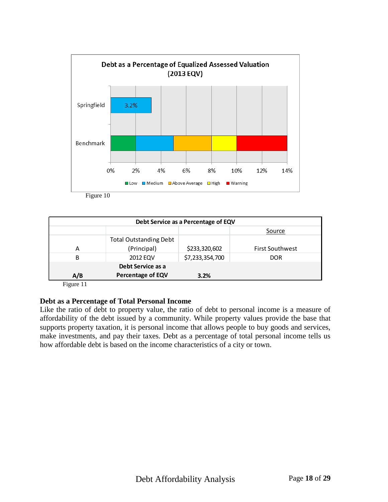

Figure 10

| Debt Service as a Percentage of EQV |                               |                 |                        |  |
|-------------------------------------|-------------------------------|-----------------|------------------------|--|
|                                     |                               |                 | Source                 |  |
|                                     | <b>Total Outstanding Debt</b> |                 |                        |  |
| А                                   | (Principal)                   | \$233,320,602   | <b>First Southwest</b> |  |
| B                                   | <b>2012 EQV</b>               | \$7,233,354,700 | <b>DOR</b>             |  |
| Debt Service as a                   |                               |                 |                        |  |
| A/B                                 | <b>Percentage of EQV</b>      | 3.2%            |                        |  |

Figure 11

#### **Debt as a Percentage of Total Personal Income**

Like the ratio of debt to property value, the ratio of debt to personal income is a measure of affordability of the debt issued by a community. While property values provide the base that supports property taxation, it is personal income that allows people to buy goods and services, make investments, and pay their taxes. Debt as a percentage of total personal income tells us how affordable debt is based on the income characteristics of a city or town.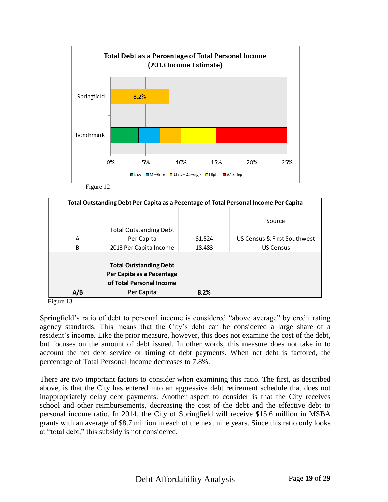

Source A Total Outstanding Debt Per Capita  $\begin{array}{ccc} \text{9.1,524} & \text{US Census & First Southwest} \end{array}$ B 2013 Per Capita Income 18,483 US Census **A/B Total Outstanding Debt Per Capita as a Pecentage of Total Personal Income Per Capita 8.2% Total Outstanding Debt Per Capita as a Pecentage of Total Personal Income Per Capita**

Figure 13

Springfield's ratio of debt to personal income is considered "above average" by credit rating agency standards. This means that the City's debt can be considered a large share of a resident's income. Like the prior measure, however, this does not examine the cost of the debt, but focuses on the amount of debt issued. In other words, this measure does not take in to account the net debt service or timing of debt payments. When net debt is factored, the percentage of Total Personal Income decreases to 7.8%.

There are two important factors to consider when examining this ratio. The first, as described above, is that the City has entered into an aggressive debt retirement schedule that does not inappropriately delay debt payments. Another aspect to consider is that the City receives school and other reimbursements, decreasing the cost of the debt and the effective debt to personal income ratio. In 2014, the City of Springfield will receive \$15.6 million in MSBA grants with an average of \$8.7 million in each of the next nine years. Since this ratio only looks at "total debt," this subsidy is not considered.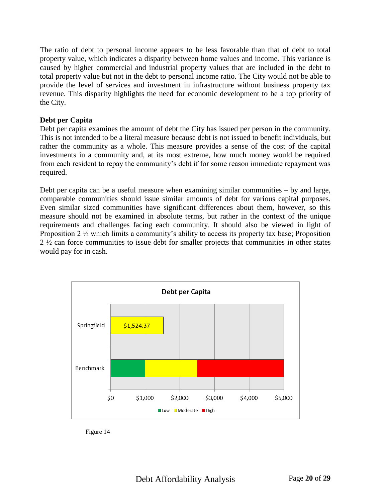The ratio of debt to personal income appears to be less favorable than that of debt to total property value, which indicates a disparity between home values and income. This variance is caused by higher commercial and industrial property values that are included in the debt to total property value but not in the debt to personal income ratio. The City would not be able to provide the level of services and investment in infrastructure without business property tax revenue. This disparity highlights the need for economic development to be a top priority of the City.

#### **Debt per Capita**

Debt per capita examines the amount of debt the City has issued per person in the community. This is not intended to be a literal measure because debt is not issued to benefit individuals, but rather the community as a whole. This measure provides a sense of the cost of the capital investments in a community and, at its most extreme, how much money would be required from each resident to repay the community's debt if for some reason immediate repayment was required.

Debt per capita can be a useful measure when examining similar communities – by and large, comparable communities should issue similar amounts of debt for various capital purposes. Even similar sized communities have significant differences about them, however, so this measure should not be examined in absolute terms, but rather in the context of the unique requirements and challenges facing each community. It should also be viewed in light of Proposition 2 ½ which limits a community's ability to access its property tax base; Proposition 2 ½ can force communities to issue debt for smaller projects that communities in other states would pay for in cash.



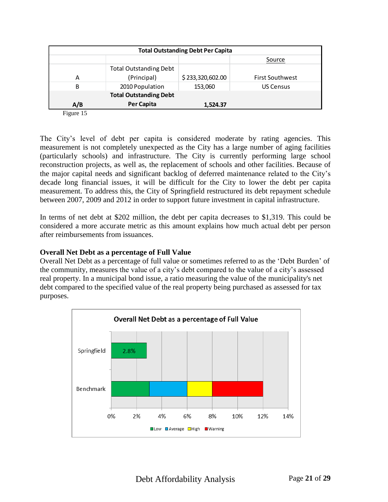| <b>Total Outstanding Debt Per Capita</b> |                               |                  |                        |  |
|------------------------------------------|-------------------------------|------------------|------------------------|--|
|                                          |                               |                  | Source                 |  |
|                                          | <b>Total Outstanding Debt</b> |                  |                        |  |
| А                                        | (Principal)                   | \$233,320,602.00 | <b>First Southwest</b> |  |
| B                                        | 2010 Population               | 153,060          | <b>US Census</b>       |  |
| <b>Total Outstanding Debt</b>            |                               |                  |                        |  |
| A/B                                      | Per Capita                    | 1,524.37         |                        |  |
| $\Gamma$ $\Gamma$ $\Gamma$               |                               |                  |                        |  |

Figure 15

The City's level of debt per capita is considered moderate by rating agencies. This measurement is not completely unexpected as the City has a large number of aging facilities (particularly schools) and infrastructure. The City is currently performing large school reconstruction projects, as well as, the replacement of schools and other facilities. Because of the major capital needs and significant backlog of deferred maintenance related to the City's decade long financial issues, it will be difficult for the City to lower the debt per capita measurement. To address this, the City of Springfield restructured its debt repayment schedule between 2007, 2009 and 2012 in order to support future investment in capital infrastructure.

In terms of net debt at \$202 million, the debt per capita decreases to \$1,319. This could be considered a more accurate metric as this amount explains how much actual debt per person after reimbursements from issuances.

#### **Overall Net Debt as a percentage of Full Value**

Overall Net Debt as a percentage of full value or sometimes referred to as the 'Debt Burden' of the community, measures the value of a city's debt compared to the value of a city's assessed real property. In a municipal bond issue, a ratio measuring the value of the municipality's net debt compared to the specified value of the real property being purchased as assessed for tax purposes.

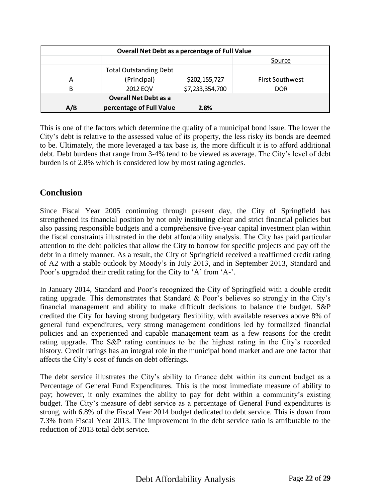| <b>Overall Net Debt as a percentage of Full Value</b> |                               |                 |                        |  |
|-------------------------------------------------------|-------------------------------|-----------------|------------------------|--|
|                                                       |                               |                 | Source                 |  |
|                                                       | <b>Total Outstanding Debt</b> |                 |                        |  |
| А                                                     | (Principal)                   | \$202,155,727   | <b>First Southwest</b> |  |
| B                                                     | <b>2012 EQV</b>               | \$7,233,354,700 | <b>DOR</b>             |  |
|                                                       | <b>Overall Net Debt as a</b>  |                 |                        |  |
| A/B                                                   | percentage of Full Value      | 2.8%            |                        |  |

This is one of the factors which determine the quality of a municipal bond issue. The lower the City's debt is relative to the assessed value of its property, the less risky its bonds are deemed to be. Ultimately, the more leveraged a tax base is, the more difficult it is to afford additional debt. Debt burdens that range from 3-4% tend to be viewed as average. The City's level of debt burden is of 2.8% which is considered low by most rating agencies.

## **Conclusion**

Since Fiscal Year 2005 continuing through present day, the City of Springfield has strengthened its financial position by not only instituting clear and strict financial policies but also passing responsible budgets and a comprehensive five-year capital investment plan within the fiscal constraints illustrated in the debt affordability analysis. The City has paid particular attention to the debt policies that allow the City to borrow for specific projects and pay off the debt in a timely manner. As a result, the City of Springfield received a reaffirmed credit rating of A2 with a stable outlook by Moody's in July 2013, and in September 2013, Standard and Poor's upgraded their credit rating for the City to 'A' from 'A-'.

In January 2014, Standard and Poor's recognized the City of Springfield with a double credit rating upgrade. This demonstrates that Standard & Poor's believes so strongly in the City's financial management and ability to make difficult decisions to balance the budget. S&P credited the City for having strong budgetary flexibility, with available reserves above 8% of general fund expenditures, very strong management conditions led by formalized financial policies and an experienced and capable management team as a few reasons for the credit rating upgrade. The S&P rating continues to be the highest rating in the City's recorded history. Credit ratings has an integral role in the municipal bond market and are one factor that affects the City's cost of funds on debt offerings.

The debt service illustrates the City's ability to finance debt within its current budget as a Percentage of General Fund Expenditures. This is the most immediate measure of ability to pay; however, it only examines the ability to pay for debt within a community's existing budget. The City's measure of debt service as a percentage of General Fund expenditures is strong, with 6.8% of the Fiscal Year 2014 budget dedicated to debt service. This is down from 7.3% from Fiscal Year 2013. The improvement in the debt service ratio is attributable to the reduction of 2013 total debt service.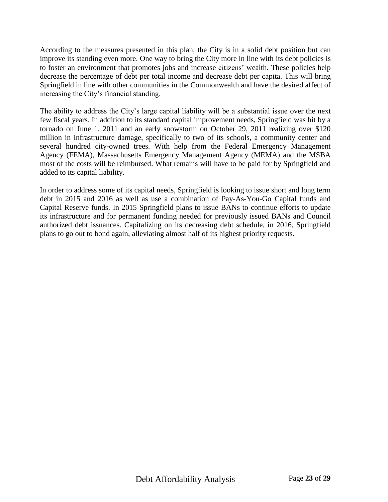According to the measures presented in this plan, the City is in a solid debt position but can improve its standing even more. One way to bring the City more in line with its debt policies is to foster an environment that promotes jobs and increase citizens' wealth. These policies help decrease the percentage of debt per total income and decrease debt per capita. This will bring Springfield in line with other communities in the Commonwealth and have the desired affect of increasing the City's financial standing.

The ability to address the City's large capital liability will be a substantial issue over the next few fiscal years. In addition to its standard capital improvement needs, Springfield was hit by a tornado on June 1, 2011 and an early snowstorm on October 29, 2011 realizing over \$120 million in infrastructure damage, specifically to two of its schools, a community center and several hundred city-owned trees. With help from the Federal Emergency Management Agency (FEMA), Massachusetts Emergency Management Agency (MEMA) and the MSBA most of the costs will be reimbursed. What remains will have to be paid for by Springfield and added to its capital liability.

In order to address some of its capital needs, Springfield is looking to issue short and long term debt in 2015 and 2016 as well as use a combination of Pay-As-You-Go Capital funds and Capital Reserve funds. In 2015 Springfield plans to issue BANs to continue efforts to update its infrastructure and for permanent funding needed for previously issued BANs and Council authorized debt issuances. Capitalizing on its decreasing debt schedule, in 2016, Springfield plans to go out to bond again, alleviating almost half of its highest priority requests.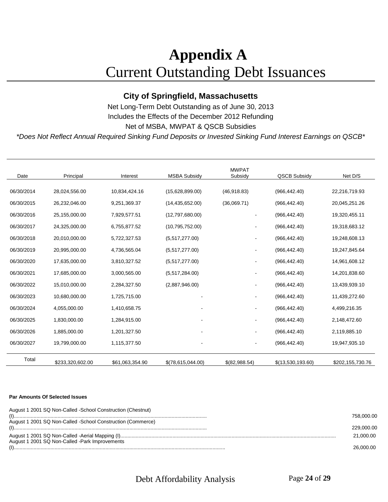## **Appendix A** Current Outstanding Debt Issuances

## **City of Springfield, Massachusetts**

Net Long-Term Debt Outstanding as of June 30, 2013 Includes the Effects of the December 2012 Refunding Net of MSBA, MWPAT & QSCB Subsidies

*\*Does Not Reflect Annual Required Sinking Fund Deposits or Invested Sinking Fund Interest Earnings on QSCB\**

| Date       | Principal        | Interest        | <b>MSBA Subsidy</b> | <b>MWPAT</b><br>Subsidy      | <b>QSCB Subsidy</b> | Net D/S          |
|------------|------------------|-----------------|---------------------|------------------------------|---------------------|------------------|
|            |                  |                 |                     |                              |                     |                  |
| 06/30/2014 | 28,024,556.00    | 10,834,424.16   | (15.628.899.00)     | (46,918.83)                  | (966, 442.40)       | 22,216,719.93    |
| 06/30/2015 | 26,232,046.00    | 9,251,369.37    | (14, 435, 652.00)   | (36,069.71)                  | (966, 442.40)       | 20,045,251.26    |
| 06/30/2016 | 25,155,000.00    | 7,929,577.51    | (12,797,680.00)     |                              | (966, 442.40)       | 19,320,455.11    |
| 06/30/2017 | 24,325,000.00    | 6,755,877.52    | (10,795,752.00)     |                              | (966, 442.40)       | 19,318,683.12    |
| 06/30/2018 | 20,010,000.00    | 5,722,327.53    | (5,517,277.00)      |                              | (966, 442.40)       | 19,248,608.13    |
| 06/30/2019 | 20,995,000.00    | 4,736,565.04    | (5,517,277.00)      | ۰                            | (966, 442.40)       | 19,247,845.64    |
| 06/30/2020 | 17,635,000.00    | 3,810,327.52    | (5,517,277.00)      | $\qquad \qquad \blacksquare$ | (966, 442.40)       | 14,961,608.12    |
| 06/30/2021 | 17,685,000.00    | 3,000,565.00    | (5,517,284.00)      | ۰                            | (966, 442.40)       | 14,201,838.60    |
| 06/30/2022 | 15,010,000.00    | 2,284,327.50    | (2,887,946.00)      |                              | (966, 442.40)       | 13,439,939.10    |
| 06/30/2023 | 10,680,000.00    | 1,725,715.00    |                     |                              | (966, 442.40)       | 11,439,272.60    |
| 06/30/2024 | 4,055,000.00     | 1,410,658.75    |                     |                              | (966, 442.40)       | 4,499,216.35     |
| 06/30/2025 | 1,830,000.00     | 1,284,915.00    |                     | -                            | (966, 442.40)       | 2,148,472.60     |
| 06/30/2026 | 1,885,000.00     | 1,201,327.50    |                     |                              | (966, 442.40)       | 2,119,885.10     |
| 06/30/2027 | 19,799,000.00    | 1,115,377.50    |                     | ۰                            | (966, 442.40)       | 19,947,935.10    |
| Total      | \$233,320,602.00 | \$61,063,354.90 | \$(78,615,044.00)   | $$$ (82,988.54)              | \$(13,530,193.60)   | \$202,155,730.76 |

#### **Par Amounts Of Selected Issues**

| August 1 2001 SQ Non-Called -School Construction (Chestnut) | 758,000.00 |
|-------------------------------------------------------------|------------|
| August 1 2001 SQ Non-Called -School Construction (Commerce) |            |
|                                                             | 229,000,00 |
|                                                             | 21.000.00  |
| August 1 2001 SQ Non-Called -Park Improvements              |            |
|                                                             |            |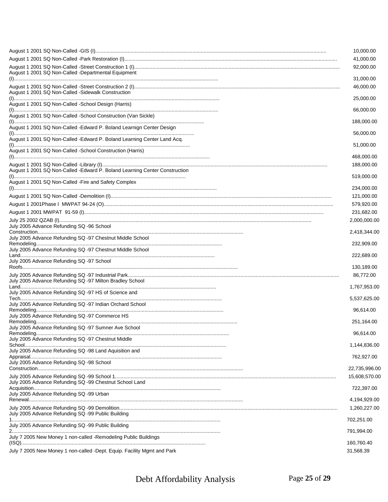|                                                                                                                                                                                                                                                                                                                                                                     | 10,000.00 |
|---------------------------------------------------------------------------------------------------------------------------------------------------------------------------------------------------------------------------------------------------------------------------------------------------------------------------------------------------------------------|-----------|
| 41,000.00                                                                                                                                                                                                                                                                                                                                                           |           |
| 92,000.00                                                                                                                                                                                                                                                                                                                                                           |           |
| August 1 2001 SQ Non-Called -Departmental Equipment<br>31,000.00                                                                                                                                                                                                                                                                                                    |           |
| 46,000.00                                                                                                                                                                                                                                                                                                                                                           |           |
| August 1 2001 SQ Non-Called -Sidewalk Construction<br>25,000.00                                                                                                                                                                                                                                                                                                     |           |
| August 1 2001 SQ Non-Called -School Design (Harris)                                                                                                                                                                                                                                                                                                                 |           |
| 66,000.00<br>August 1 2001 SQ Non-Called -School Construction (Van Sickle)                                                                                                                                                                                                                                                                                          |           |
| 188,000.00<br>August 1 2001 SQ Non-Called -Edward P. Boland Learnign Center Design                                                                                                                                                                                                                                                                                  |           |
| 56,000.00<br>August 1 2001 SQ Non-Called -Edward P. Boland Learning Center Land Acq.                                                                                                                                                                                                                                                                                |           |
| 51,000.00<br>August 1 2001 SQ Non-Called -School Construction (Harris)                                                                                                                                                                                                                                                                                              |           |
| 468,000.00                                                                                                                                                                                                                                                                                                                                                          |           |
| 188,000.00<br>August 1 2001 SQ Non-Called -Edward P. Boland Learning Center Construction                                                                                                                                                                                                                                                                            |           |
| 519,000.00<br>August 1 2001 SQ Non-Called - Fire and Safety Complex                                                                                                                                                                                                                                                                                                 |           |
| 234,000.00                                                                                                                                                                                                                                                                                                                                                          |           |
| 121,000.00                                                                                                                                                                                                                                                                                                                                                          |           |
| 579,920.00                                                                                                                                                                                                                                                                                                                                                          |           |
| 231,682.00                                                                                                                                                                                                                                                                                                                                                          |           |
| 2,000,000.00                                                                                                                                                                                                                                                                                                                                                        |           |
| July 2005 Advance Refunding SQ -96 School<br>$Construction. ________ ________ ________ ________ ________ ________ ________ ________ ________ ________ ________ ________ ________ ________ ________ ________ ________ ________ ________ ________ ________ ________ ________ ________ ________ ________ ________ ________ ________ ________ ________$<br>2,418,344.00 |           |
| July 2005 Advance Refunding SQ -97 Chestnut Middle School<br>232,909.00                                                                                                                                                                                                                                                                                             |           |
| July 2005 Advance Refunding SQ -97 Chestnut Middle School<br>222,689.00                                                                                                                                                                                                                                                                                             |           |
| July 2005 Advance Refunding SQ -97 School<br>130,189.00                                                                                                                                                                                                                                                                                                             |           |
| 86,772.00<br>July 2005 Advance Refunding SQ -97 Milton Bradley School<br>1,767,953.00                                                                                                                                                                                                                                                                               |           |
| July 2005 Advance Refunding SQ -97 HS of Science and<br>5,537,625.00                                                                                                                                                                                                                                                                                                |           |
| July 2005 Advance Refunding SQ -97 Indian Orchard School<br>96,614.00                                                                                                                                                                                                                                                                                               |           |
| July 2005 Advance Refunding SQ -97 Commerce HS                                                                                                                                                                                                                                                                                                                      |           |
| 251,164.00<br>July 2005 Advance Refunding SQ -97 Sumner Ave School                                                                                                                                                                                                                                                                                                  |           |
| 96,614.00                                                                                                                                                                                                                                                                                                                                                           |           |
| July 2005 Advance Refunding SQ -97 Chestnut Middle<br>1,144,836.00                                                                                                                                                                                                                                                                                                  |           |
| July 2005 Advance Refunding SQ -98 Land Aquisition and<br>762,927.00                                                                                                                                                                                                                                                                                                |           |
| July 2005 Advance Refunding SQ -98 School<br>22,735,996.00                                                                                                                                                                                                                                                                                                          |           |
| 15,608,570.00<br>July 2005 Advance Refunding SQ -99 Chestnut School Land                                                                                                                                                                                                                                                                                            |           |
| 722,397.00                                                                                                                                                                                                                                                                                                                                                          |           |
| July 2005 Advance Refunding SQ -99 Urban<br>4,194,929.00                                                                                                                                                                                                                                                                                                            |           |
| 1,260,227.00                                                                                                                                                                                                                                                                                                                                                        |           |
| July 2005 Advance Refunding SQ -99 Public Building<br>702,251.00                                                                                                                                                                                                                                                                                                    |           |
| July 2005 Advance Refunding SQ -99 Public Building<br>791,994.00                                                                                                                                                                                                                                                                                                    |           |
| July 7 2005 New Money 1 non-called -Remodeling Public Buildings<br>160,760.40                                                                                                                                                                                                                                                                                       |           |
| July 7 2005 New Money 1 non-called -Dept. Equip. Facility Mgmt and Park<br>31,568.39                                                                                                                                                                                                                                                                                |           |

July 7 2005 New Money 1 non-called -Dept. Equip. Facility Mgmt and Park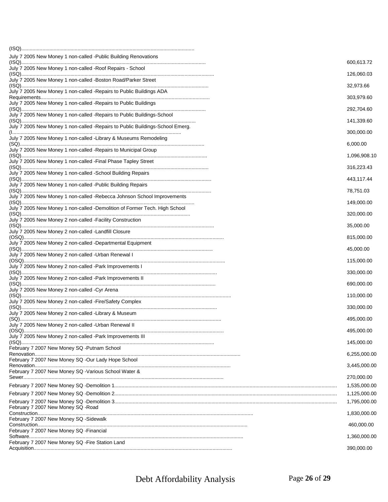| July 7 2005 New Money 1 non-called -Public Building Renovations               | 600,613.72                 |
|-------------------------------------------------------------------------------|----------------------------|
| July 7 2005 New Money 1 non-called -Roof Repairs - School                     | 126,060.03                 |
| July 7 2005 New Money 1 non-called -Boston Road/Parker Street                 | 32,973.66                  |
| July 7 2005 New Money 1 non-called - Repairs to Public Buildings ADA          | 303,979.60                 |
| July 7 2005 New Money 1 non-called -Repairs to Public Buildings               |                            |
| July 7 2005 New Money 1 non-called - Repairs to Public Buildings-School       | 292,704.60                 |
| July 7 2005 New Money 1 non-called -Repairs to Public Buildings-School Emerg. | 141,339.60                 |
| July 7 2005 New Money 1 non-called -Library & Museums Remodeling              | 300,000.00                 |
| July 7 2005 New Money 1 non-called -Repairs to Municipal Group                | 6,000.00                   |
| July 7 2005 New Money 1 non-called - Final Phase Tapley Street                | 1,096,908.10               |
| July 7 2005 New Money 1 non-called -School Building Repairs                   | 316,223.43                 |
| July 7 2005 New Money 1 non-called -Public Building Repairs                   | 443,117.44                 |
| July 7 2005 New Money 1 non-called -Rebecca Johnson School Improvements       | 78,751.03                  |
| July 7 2005 New Money 1 non-called -Demolition of Former Tech. High School    | 149,000.00                 |
| July 7 2005 New Money 2 non-called -Facility Construction                     | 320,000.00                 |
| July 7 2005 New Money 2 non-called -Landfill Closure                          | 35,000.00                  |
|                                                                               | 815,000.00                 |
| July 7 2005 New Money 2 non-called -Departmental Equipment                    | 45,000.00                  |
| July 7 2005 New Money 2 non-called - Urban Renewal I                          | 115,000.00                 |
| July 7 2005 New Money 2 non-called -Park Improvements I                       | 330,000.00                 |
| July 7 2005 New Money 2 non-called -Park Improvements II                      | 690,000.00                 |
| July 7 2005 New Money 2 non-called -Cyr Arena                                 | 110,000.00                 |
| July 7 2005 New Money 2 non-called -Fire/Safety Complex                       | 330,000.00                 |
| July 7 2005 New Money 2 non-called -Library & Museum                          | 495,000.00                 |
| July 7 2005 New Money 2 non-called - Urban Renewal II                         | 495,000.00                 |
| July 7 2005 New Money 2 non-called -Park Improvements III                     | 145,000.00                 |
| February 7 2007 New Money SQ -Putnam School                                   |                            |
| February 7 2007 New Money SQ -Our Lady Hope School                            | 6,255,000.00               |
| February 7 2007 New Money SQ -Various School Water &                          | 3,445,000.00               |
|                                                                               | 270,000.00<br>1,535,000.00 |
|                                                                               | 1,125,000.00               |
|                                                                               | 1,795,000.00               |
| February 7 2007 New Money SQ -Road                                            | 1,830,000.00               |
| February 7 2007 New Money SQ -Sidewalk                                        | 460,000.00                 |
| February 7 2007 New Money SQ - Financial                                      | 1,360,000.00               |
| February 7 2007 New Money SQ - Fire Station Land                              | 390,000.00                 |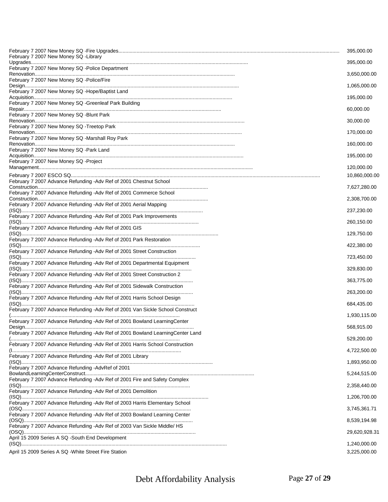|                                                                                 | 395,000.00    |
|---------------------------------------------------------------------------------|---------------|
| February 7 2007 New Money SQ -Library                                           | 395,000.00    |
| February 7 2007 New Money SQ -Police Department                                 | 3,650,000.00  |
| February 7 2007 New Money SQ -Police/Fire                                       | 1,065,000.00  |
| February 7 2007 New Money SQ -Hope/Baptist Land                                 | 195,000.00    |
| February 7 2007 New Money SQ - Greenleaf Park Building                          | 60,000.00     |
| February 7 2007 New Money SQ -Blunt Park                                        |               |
| February 7 2007 New Money SQ - Treetop Park                                     | 30,000.00     |
| February 7 2007 New Money SQ -Marshall Roy Park                                 | 170,000.00    |
| February 7 2007 New Money SQ -Park Land                                         | 160,000.00    |
| February 7 2007 New Money SQ -Project                                           | 195,000.00    |
|                                                                                 | 120,000.00    |
| February 7 2007 Advance Refunding -Adv Ref of 2001 Chestnut School              | 10,860,000.00 |
|                                                                                 | 7,627,280.00  |
| February 7 2007 Advance Refunding -Adv Ref of 2001 Commerce School              | 2,308,700.00  |
| February 7 2007 Advance Refunding -Adv Ref of 2001 Aerial Mapping               | 237,230.00    |
| February 7 2007 Advance Refunding - Adv Ref of 2001 Park Improvements           | 260,150.00    |
| February 7 2007 Advance Refunding - Adv Ref of 2001 GIS                         | 129,750.00    |
| February 7 2007 Advance Refunding - Adv Ref of 2001 Park Restoration            |               |
| February 7 2007 Advance Refunding - Adv Ref of 2001 Street Construction         | 422,380.00    |
| February 7 2007 Advance Refunding - Adv Ref of 2001 Departmental Equipment      | 723,450.00    |
| February 7 2007 Advance Refunding -Adv Ref of 2001 Street Construction 2        | 329,830.00    |
| February 7 2007 Advance Refunding - Adv Ref of 2001 Sidewalk Construction       | 363,775.00    |
| February 7 2007 Advance Refunding -Adv Ref of 2001 Harris School Design         | 263,200.00    |
|                                                                                 | 684,435.00    |
| February 7 2007 Advance Refunding - Adv Ref of 2001 Van Sickle School Construct | 1,930,115.00  |
| February 7 2007 Advance Refunding - Adv Ref of 2001 Bowland Learning Center     | 568,915.00    |
| February 7 2007 Advance Refunding -Adv Ref of 2001 Bowland LearningCenter Land  | 529,200.00    |
| February 7 2007 Advance Refunding -Adv Ref of 2001 Harris School Construction   | 4,722,500.00  |
| February 7 2007 Advance Refunding -Adv Ref of 2001 Library                      | 1,893,950.00  |
| February 7 2007 Advance Refunding -AdvRef of 2001                               |               |
| February 7 2007 Advance Refunding - Adv Ref of 2001 Fire and Safety Complex     | 5,244,515.00  |
| February 7 2007 Advance Refunding -Adv Ref of 2001 Demolition                   | 2,358,440.00  |
| February 7 2007 Advance Refunding -Adv Ref of 2003 Harris Elementary School     | 1,206,700.00  |
|                                                                                 | 3,745,361.71  |
| February 7 2007 Advance Refunding - Adv Ref of 2003 Bowland Learning Center     | 8,539,194.98  |
| February 7 2007 Advance Refunding - Adv Ref of 2003 Van Sickle Middle/ HS       | 29,620,928.31 |
| April 15 2009 Series A SQ -South End Development                                | 1,240,000.00  |
| April 15 2009 Series A SQ -White Street Fire Station                            | 3,225,000.00  |

Debt Affordability Analysis Page **27** of **29**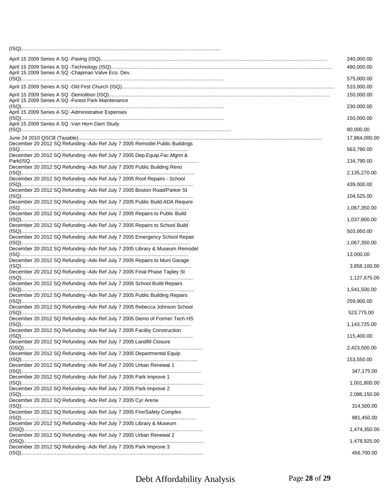|                                                                                                                              | 240,000.00    |
|------------------------------------------------------------------------------------------------------------------------------|---------------|
|                                                                                                                              | 480,000.00    |
| April 15 2009 Series A SQ - Chapman Valve Eco. Dev.                                                                          | 575,000.00    |
|                                                                                                                              | 510,000.00    |
| April 15 2009 Series A SQ -Forest Park Maintenance                                                                           | 150,000.00    |
| April 15 2009 Series A SQ -Administrative Expenses                                                                           | 230,000.00    |
| April 15 2009 Series A SQ - Van Horn Dam Study                                                                               | 150,000.00    |
|                                                                                                                              | 80,000.00     |
| December 20 2012 SQ Refunding - Adv Ref July 7 2005 Remodel Public Buildings                                                 | 17,864,000.00 |
| <u>(ISQ…………………………………………………………………………………………</u><br>December 20 2012 SQ Refunding - Adv Ref July 7 2005 Dep. Equip. Fac. Mgmt & | 563,790.00    |
|                                                                                                                              | 134,790.00    |
| December 20 2012 SQ Refunding - Adv Ref July 7 2005 Public Building Reno                                                     | 2,135,270.00  |
| December 20 2012 SQ Refunding - Adv Ref July 7 2005 Roof Repairs - School                                                    | 439,000.00    |
| December 20 2012 SQ Refunding - Adv Ref July 7 2005 Boston Road/Parker St                                                    | 104,525.00    |
| December 20 2012 SQ Refunding - Adv Ref July 7 2005 Public Build.ADA Require                                                 |               |
| December 20 2012 SQ Refunding - Adv Ref July 7 2005 Repairs to Public Build                                                  | 1,067,350.00  |
| December 20 2012 SQ Refunding - Adv Ref July 7 2005 Repairs to School Build                                                  | 1,037,800.00  |
| December 20 2012 SQ Refunding - Adv Ref July 7 2005 Emergency School Repair                                                  | 503,950.00    |
|                                                                                                                              | 1,067,350.00  |
| December 20 2012 SQ Refunding - Adv Ref July 7 2005 Library & Museum Remodel                                                 | 13,000.00     |
| December 20 2012 SQ Refunding - Adv Ref July 7 2005 Repairs to Muni Garage                                                   | 3,858,100.00  |
| December 20 2012 SQ Refunding - Adv Ref July 7 2005 Final Phase Tapley St                                                    | 1,127,675.00  |
| December 20 2012 SQ Refunding - Adv Ref July 7 2005 School Build Repairs                                                     |               |
| December 20 2012 SQ Refunding - Adv Ref July 7 2005 Public Building Repairs                                                  | 1,541,500.00  |
| December 20 2012 SQ Refunding -Adv Ref July 7 2005 Rebecca Johnson School                                                    | 259,900.00    |
| (ISQ)<br>December 20 2012 SQ Refunding -Adv Ref July 7 2005 Demo of Former Tech HS                                           | 523,775.00    |
|                                                                                                                              | 1,143,725.00  |
| December 20 2012 SQ Refunding - Adv Ref July 7 2005 Facility Construction                                                    | 115,400.00    |
| December 20 2012 SQ Refunding - Adv Ref July 7 2005 Landfill Closure                                                         | 2,423,500.00  |
| December 20 2012 SQ Refunding - Adv Ref July 7 2005 Departmental Equip                                                       |               |
| December 20 2012 SQ Refunding - Adv Ref July 7 2005 Urban Renewal 1                                                          | 153,550.00    |
| December 20 2012 SQ Refunding -Adv Ref July 7 2005 Park Improve 1                                                            | 347,175.00    |
| December 20 2012 SQ Refunding - Adv Ref July 7 2005 Park Improve 2                                                           | 1,001,800.00  |
|                                                                                                                              | 2,086,150.00  |
| December 20 2012 SQ Refunding - Adv Ref July 7 2005 Cyr Arena                                                                | 314,500.00    |
| December 20 2012 SQ Refunding - Adv Ref July 7 2005 Fire/Safety Complex                                                      | 981,450.00    |
| December 20 2012 SQ Refunding - Adv Ref July 7 2005 Library & Museum                                                         | 1,474,350.00  |
| December 20 2012 SQ Refunding - Adv Ref July 7 2005 Urban Renewal 2                                                          |               |
| December 20 2012 SQ Refunding - Adv Ref July 7 2005 Park Improve 3                                                           | 1,478,925.00  |
|                                                                                                                              | 456,700.00    |